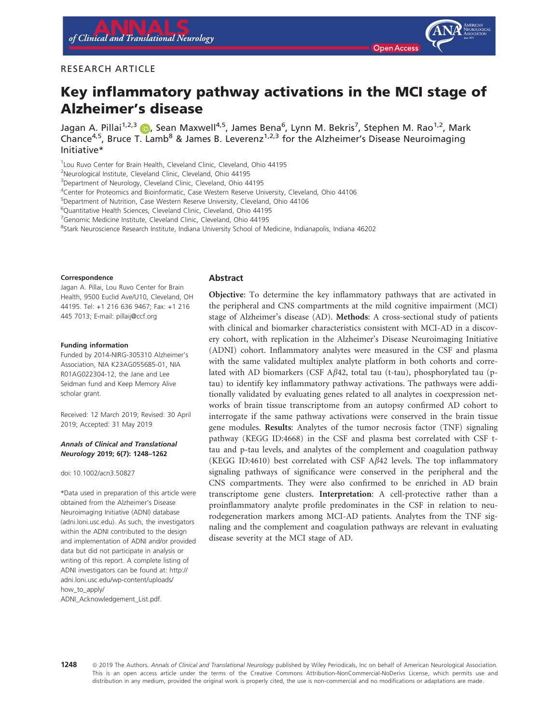# Key inflammatory pathway activations in the MCI stage of Alzheimer's disease

Jagan A. Pillai 1980, Sean Maxwell 1, James Bena , Lynn M. Bekris , Stephen M. Rao 1, Mark<br>Chance<sup>4,5</sup>, Rruce T. Lamb<sup>8</sup> & James R. Leverenz<sup>1,2,[3](https://orcid.org/0000-0001-6784-824X)</sup> for the Alzheimer's Disease Neuroimaging Chance4, Bruce T. Lamb & James B. Leverenz1,2,3 for the Alzheimer's Disease Neuroimaging<br>Initiative\*

<sup>1</sup> Lou Ruvo Center for Brain Health, Cleveland Clinic, Cleveland, Ohio 44195

2 Neurological Institute, Cleveland Clinic, Cleveland, Ohio 44195

<sup>3</sup>Department of Neurology, Cleveland Clinic, Cleveland, Ohio 44195

4 Center for Proteomics and Bioinformatic, Case Western Reserve University, Cleveland, Ohio 44106

5 Department of Nutrition, Case Western Reserve University, Cleveland, Ohio 44106

6 Quantitative Health Sciences, Cleveland Clinic, Cleveland, Ohio 44195

<sup>7</sup> Genomic Medicine Institute, Cleveland Clinic, Cleveland, Ohio 44195

8 Stark Neuroscience Research Institute, Indiana University School of Medicine, Indianapolis, Indiana 46202

#### Correspondence

Jagan A. Pillai, Lou Ruvo Center for Brain Health, 9500 Euclid Ave/U10, Cleveland, OH 44195. Tel: +1 216 636 9467; Fax: +1 216 445 7013; E-mail: [pillaij@ccf.org](mailto:)

#### Funding information

Funded by 2014-NIRG-305310 Alzheimer's Association, NIA K23AG055685-01, NIA R01AG022304-12, the Jane and Lee Seidman fund and Keep Memory Alive scholar grant.

Received: 12 March 2019; Revised: 30 April 2019; Accepted: 31 May 2019

#### Annals of Clinical and Translational Neurology 2019; 6(7): 1248–1262

doi: 10.1002/acn3.50827

\*Data used in preparation of this article were obtained from the Alzheimer's Disease Neuroimaging Initiative (ADNI) database (adni.loni.usc.edu). As such, the investigators within the ADNI contributed to the design and implementation of ADNI and/or provided data but did not participate in analysis or writing of this report. A complete listing of ADNI investigators can be found at: http:// adni.loni.usc.edu/wp-content/uploads/ how\_to\_apply/ ADNI\_Acknowledgement\_List.pdf.

#### Abstract

Objective: To determine the key inflammatory pathways that are activated in the peripheral and CNS compartments at the mild cognitive impairment (MCI) stage of Alzheimer's disease (AD). Methods: A cross-sectional study of patients with clinical and biomarker characteristics consistent with MCI-AD in a discovery cohort, with replication in the Alzheimer's Disease Neuroimaging Initiative (ADNI) cohort. Inflammatory analytes were measured in the CSF and plasma with the same validated multiplex analyte platform in both cohorts and correlated with AD biomarkers (CSF A $\beta$ 42, total tau (t-tau), phosphorylated tau (ptau) to identify key inflammatory pathway activations. The pathways were additionally validated by evaluating genes related to all analytes in coexpression networks of brain tissue transcriptome from an autopsy confirmed AD cohort to interrogate if the same pathway activations were conserved in the brain tissue gene modules. Results: Analytes of the tumor necrosis factor (TNF) signaling pathway (KEGG ID:4668) in the CSF and plasma best correlated with CSF ttau and p-tau levels, and analytes of the complement and coagulation pathway (KEGG ID:4610) best correlated with CSF  $A\beta$ 42 levels. The top inflammatory signaling pathways of significance were conserved in the peripheral and the CNS compartments. They were also confirmed to be enriched in AD brain transcriptome gene clusters. Interpretation: A cell-protective rather than a proinflammatory analyte profile predominates in the CSF in relation to neurodegeneration markers among MCI-AD patients. Analytes from the TNF signaling and the complement and coagulation pathways are relevant in evaluating disease severity at the MCI stage of AD.

1248 <sup>©</sup> 2019 The Authors. Annals of Clinical and Translational Neurology published by Wiley Periodicals, Inc on behalf of American Neurological Association. This is an open access article under the terms of the [Creative Commons Attribution-NonCommercial-NoDerivs](http://creativecommons.org/licenses/by-nc-nd/4.0/) License, which permits use and distribution in any medium, provided the original work is properly cited, the use is non-commercial and no modifications or adaptations are made.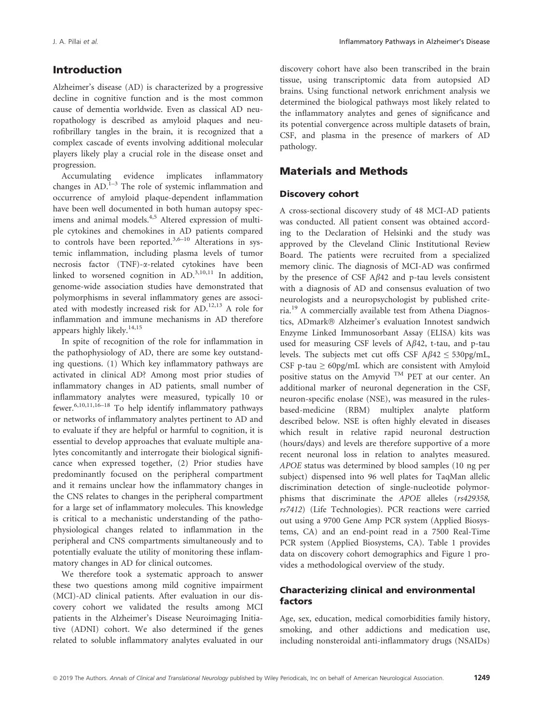# Introduction

Alzheimer's disease (AD) is characterized by a progressive decline in cognitive function and is the most common cause of dementia worldwide. Even as classical AD neuropathology is described as amyloid plaques and neurofibrillary tangles in the brain, it is recognized that a complex cascade of events involving additional molecular players likely play a crucial role in the disease onset and progression.

Accumulating evidence implicates inflammatory changes in  $AD<sup>1-3</sup>$ . The role of systemic inflammation and occurrence of amyloid plaque-dependent inflammation have been well documented in both human autopsy specimens and animal models.<sup>4,5</sup> Altered expression of multiple cytokines and chemokines in AD patients compared to controls have been reported.<sup>3,6–10</sup> Alterations in systemic inflammation, including plasma levels of tumor necrosis factor (TNF)-a-related cytokines have been linked to worsened cognition in  $AD.^{3,10,11}$  In addition, genome-wide association studies have demonstrated that polymorphisms in several inflammatory genes are associated with modestly increased risk for AD.12,13 A role for inflammation and immune mechanisms in AD therefore appears highly likely.<sup>14,15</sup>

In spite of recognition of the role for inflammation in the pathophysiology of AD, there are some key outstanding questions. (1) Which key inflammatory pathways are activated in clinical AD? Among most prior studies of inflammatory changes in AD patients, small number of inflammatory analytes were measured, typically 10 or fewer.6,10,11,16–18 To help identify inflammatory pathways or networks of inflammatory analytes pertinent to AD and to evaluate if they are helpful or harmful to cognition, it is essential to develop approaches that evaluate multiple analytes concomitantly and interrogate their biological significance when expressed together, (2) Prior studies have predominantly focused on the peripheral compartment and it remains unclear how the inflammatory changes in the CNS relates to changes in the peripheral compartment for a large set of inflammatory molecules. This knowledge is critical to a mechanistic understanding of the pathophysiological changes related to inflammation in the peripheral and CNS compartments simultaneously and to potentially evaluate the utility of monitoring these inflammatory changes in AD for clinical outcomes.

We therefore took a systematic approach to answer these two questions among mild cognitive impairment (MCI)-AD clinical patients. After evaluation in our discovery cohort we validated the results among MCI patients in the Alzheimer's Disease Neuroimaging Initiative (ADNI) cohort. We also determined if the genes related to soluble inflammatory analytes evaluated in our discovery cohort have also been transcribed in the brain tissue, using transcriptomic data from autopsied AD brains. Using functional network enrichment analysis we determined the biological pathways most likely related to the inflammatory analytes and genes of significance and its potential convergence across multiple datasets of brain, CSF, and plasma in the presence of markers of AD pathology.

## Materials and Methods

### Discovery cohort

A cross-sectional discovery study of 48 MCI-AD patients was conducted. All patient consent was obtained according to the Declaration of Helsinki and the study was approved by the Cleveland Clinic Institutional Review Board. The patients were recruited from a specialized memory clinic. The diagnosis of MCI-AD was confirmed by the presence of CSF  $A\beta$ 42 and p-tau levels consistent with a diagnosis of AD and consensus evaluation of two neurologists and a neuropsychologist by published criteria.<sup>19</sup> A commercially available test from Athena Diagnostics, ADmark- Alzheimer's evaluation Innotest sandwich Enzyme Linked Immunosorbant Assay (ELISA) kits was used for measuring CSF levels of  $A\beta$ 42, t-tau, and p-tau levels. The subjects met cut offs CSF  $A\beta 42 \leq 530 \text{pg/mL}$ , CSF p-tau  $\geq 60$ pg/mL which are consistent with Amyloid positive status on the Amyvid TM PET at our center. An additional marker of neuronal degeneration in the CSF, neuron-specific enolase (NSE), was measured in the rulesbased-medicine (RBM) multiplex analyte platform described below. NSE is often highly elevated in diseases which result in relative rapid neuronal destruction (hours/days) and levels are therefore supportive of a more recent neuronal loss in relation to analytes measured. APOE status was determined by blood samples (10 ng per subject) dispensed into 96 well plates for TaqMan allelic discrimination detection of single-nucleotide polymorphisms that discriminate the APOE alleles (rs429358, rs7412) (Life Technologies). PCR reactions were carried out using a 9700 Gene Amp PCR system (Applied Biosystems, CA) and an end-point read in a 7500 Real-Time PCR system (Applied Biosystems, CA). Table 1 provides data on discovery cohort demographics and Figure 1 provides a methodological overview of the study.

### Characterizing clinical and environmental factors

Age, sex, education, medical comorbidities family history, smoking, and other addictions and medication use, including nonsteroidal anti-inflammatory drugs (NSAIDs)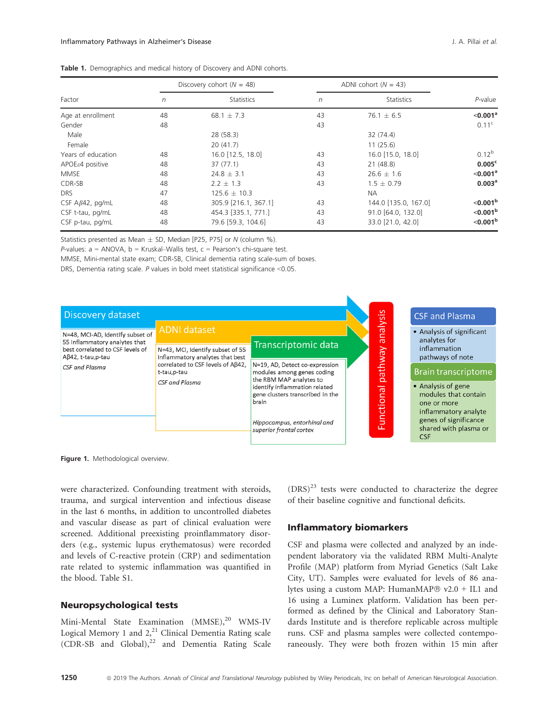|                        |            | Discovery cohort ( $N = 48$ ) | ADNI cohort $(N = 43)$ |                      |                      |
|------------------------|------------|-------------------------------|------------------------|----------------------|----------------------|
| Factor                 | $\sqrt{n}$ | <b>Statistics</b>             | $\sqrt{n}$             | <b>Statistics</b>    | P-value              |
| Age at enrollment      | 48         | 68.1 $\pm$ 7.3                | 43                     | $76.1 \pm 6.5$       | < 0.001 <sup>a</sup> |
| Gender                 | 48         |                               | 43                     |                      | 0.11 <sup>c</sup>    |
| Male                   |            | 28 (58.3)                     |                        | 32 (74.4)            |                      |
| Female                 |            | 20(41.7)                      |                        | 11(25.6)             |                      |
| Years of education     | 48         | 16.0 [12.5, 18.0]             | 43                     | 16.0 [15.0, 18.0]    | $0.12^{b}$           |
| $APOEe4$ positive      | 48         | 37(77.1)                      | 43                     | 21(48.8)             | 0.005 <sup>c</sup>   |
| <b>MMSE</b>            | 48         | $24.8 \pm 3.1$                | 43                     | $26.6 \pm 1.6$       | $<$ 0.001 $^{\circ}$ |
| CDR-SB                 | 48         | $2.2 \pm 1.3$                 | 43                     | $1.5 + 0.79$         | 0.003 <sup>a</sup>   |
| <b>DRS</b>             | 47         | $125.6 \pm 10.3$              |                        | <b>NA</b>            |                      |
| CSF $A\beta42$ , pg/mL | 48         | 305.9 [216.1, 367.1]          | 43                     | 144.0 [135.0, 167.0] | $< 0.001^b$          |
| CSF t-tau, pg/mL       | 48         | 454.3 [335.1, 771.]           | 43                     | 91.0 [64.0, 132.0]   | $< 0.001^b$          |
| CSF p-tau, pg/mL       | 48         | 79.6 [59.3, 104.6]            | 43                     | 33.0 [21.0, 42.0]    | $< 0.001^b$          |

Statistics presented as Mean  $\pm$  SD, Median [P25, P75] or N (column %).

P-values:  $a = ANOVA$ ,  $b = Kruskal-Wallis test$ ,  $c = Pearson's chi-square test$ .

MMSE, Mini-mental state exam; CDR-SB, Clinical dementia rating scale-sum of boxes.

DRS, Dementia rating scale.  $P$  values in bold meet statistical significance <0.05.



Figure 1. Methodological overview.

were characterized. Confounding treatment with steroids, trauma, and surgical intervention and infectious disease in the last 6 months, in addition to uncontrolled diabetes and vascular disease as part of clinical evaluation were screened. Additional preexisting proinflammatory disorders (e.g., systemic lupus erythematosus) were recorded and levels of C-reactive protein (CRP) and sedimentation rate related to systemic inflammation was quantified in the blood. Table S1.

### Neuropsychological tests

Mini-Mental State Examination (MMSE),<sup>20</sup> WMS-IV Logical Memory 1 and  $2,^{21}$  Clinical Dementia Rating scale  $(CDR-SB$  and  $Global$ ),<sup>22</sup> and Dementia Rating Scale  $(DRS)^{23}$  tests were conducted to characterize the degree of their baseline cognitive and functional deficits.

### Inflammatory biomarkers

CSF and plasma were collected and analyzed by an independent laboratory via the validated RBM Multi-Analyte Profile (MAP) platform from Myriad Genetics (Salt Lake City, UT). Samples were evaluated for levels of 86 analytes using a custom MAP: HumanMAP® v2.0 + IL1 and 16 using a Luminex platform. Validation has been performed as defined by the Clinical and Laboratory Standards Institute and is therefore replicable across multiple runs. CSF and plasma samples were collected contemporaneously. They were both frozen within 15 min after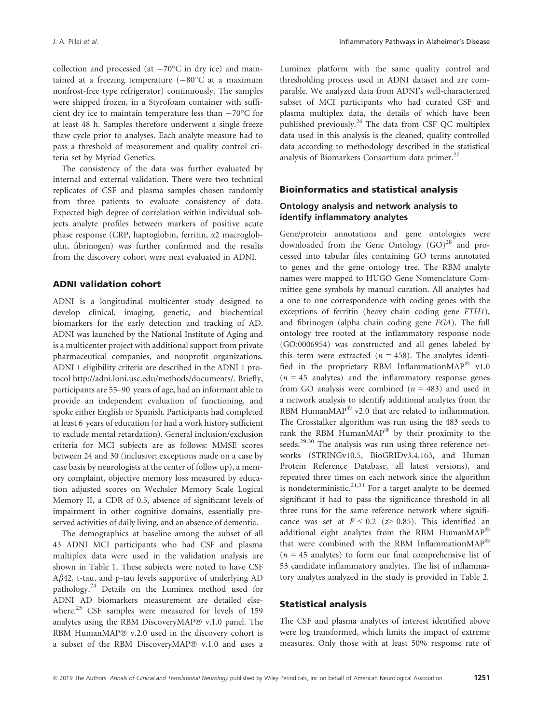collection and processed (at  $-70^{\circ}$ C in dry ice) and maintained at a freezing temperature  $(-80^{\circ}$ C at a maximum nonfrost-free type refrigerator) continuously. The samples were shipped frozen, in a Styrofoam container with sufficient dry ice to maintain temperature less than  $-70^{\circ}$ C for at least 48 h. Samples therefore underwent a single freeze thaw cycle prior to analyses. Each analyte measure had to pass a threshold of measurement and quality control criteria set by Myriad Genetics.

The consistency of the data was further evaluated by internal and external validation. There were two technical replicates of CSF and plasma samples chosen randomly from three patients to evaluate consistency of data. Expected high degree of correlation within individual subjects analyte profiles between markers of positive acute phase response (CRP, haptoglobin, ferritin, a2 macroglobulin, fibrinogen) was further confirmed and the results from the discovery cohort were next evaluated in ADNI.

#### ADNI validation cohort

ADNI is a longitudinal multicenter study designed to develop clinical, imaging, genetic, and biochemical biomarkers for the early detection and tracking of AD. ADNI was launched by the National Institute of Aging and is a multicenter project with additional support from private pharmaceutical companies, and nonprofit organizations. ADNI 1 eligibility criteria are described in the ADNI 1 protocol [http://adni.loni.usc.edu/methods/documents/](://adni.loni.usc.edu/methods/documents/). Briefly, participants are 55–90 years of age, had an informant able to provide an independent evaluation of functioning, and spoke either English or Spanish. Participants had completed at least 6 years of education (or had a work history sufficient to exclude mental retardation). General inclusion/exclusion criteria for MCI subjects are as follows: MMSE scores between 24 and 30 (inclusive; exceptions made on a case by case basis by neurologists at the center of follow up), a memory complaint, objective memory loss measured by education adjusted scores on Wechsler Memory Scale Logical Memory II, a CDR of 0.5, absence of significant levels of impairment in other cognitive domains, essentially preserved activities of daily living, and an absence of dementia.

The demographics at baseline among the subset of all 43 ADNI MCI participants who had CSF and plasma multiplex data were used in the validation analysis are shown in Table 1. These subjects were noted to have CSF  $A\beta$ 42, t-tau, and p-tau levels supportive of underlying AD pathology.<sup>24</sup> Details on the Luminex method used for ADNI AD biomarkers measurement are detailed elsewhere.<sup>25</sup> CSF samples were measured for levels of 159 analytes using the RBM DiscoveryMAP® v.1.0 panel. The RBM HumanMAP® v.2.0 used in the discovery cohort is a subset of the RBM DiscoveryMAP® v.1.0 and uses a

Luminex platform with the same quality control and thresholding process used in ADNI dataset and are comparable. We analyzed data from ADNI's well-characterized subset of MCI participants who had curated CSF and plasma multiplex data, the details of which have been published previously.<sup>26</sup> The data from CSF QC multiplex data used in this analysis is the cleaned, quality controlled data according to methodology described in the statistical analysis of Biomarkers Consortium data primer.<sup>27</sup>

### Bioinformatics and statistical analysis

### Ontology analysis and network analysis to identify inflammatory analytes

Gene/protein annotations and gene ontologies were downloaded from the Gene Ontology  $(GO)^{28}$  and processed into tabular files containing GO terms annotated to genes and the gene ontology tree. The RBM analyte names were mapped to HUGO Gene Nomenclature Committee gene symbols by manual curation. All analytes had a one to one correspondence with coding genes with the exceptions of ferritin (heavy chain coding gene FTH1), and fibrinogen (alpha chain coding gene FGA). The full ontology tree rooted at the inflammatory response node (GO:0006954) was constructed and all genes labeled by this term were extracted ( $n = 458$ ). The analytes identified in the proprietary RBM Inflammation $\text{MAP}^{\circledast}$  v1.0  $(n = 45$  analytes) and the inflammatory response genes from GO analysis were combined  $(n = 483)$  and used in a network analysis to identify additional analytes from the RBM HumanMAP $^{\circledR}$  v2.0 that are related to inflammation. The Crosstalker algorithm was run using the 483 seeds to rank the RBM HumanMAP $^{\circledR}$  by their proximity to the seeds.<sup>29,30</sup> The analysis was run using three reference networks (STRINGv10.5, BioGRIDv3.4.163, and Human Protein Reference Database, all latest versions), and repeated three times on each network since the algorithm is nondeterministic.<sup>21,31</sup> For a target analyte to be deemed significant it had to pass the significance threshold in all three runs for the same reference network where significance was set at  $P < 0.2$  ( $\ge 0.85$ ). This identified an additional eight analytes from the RBM HumanMAP® that were combined with the RBM InflammationMAP $^{\circ}$  $(n = 45$  analytes) to form our final comprehensive list of 53 candidate inflammatory analytes. The list of inflammatory analytes analyzed in the study is provided in Table 2.

#### Statistical analysis

The CSF and plasma analytes of interest identified above were log transformed, which limits the impact of extreme measures. Only those with at least 50% response rate of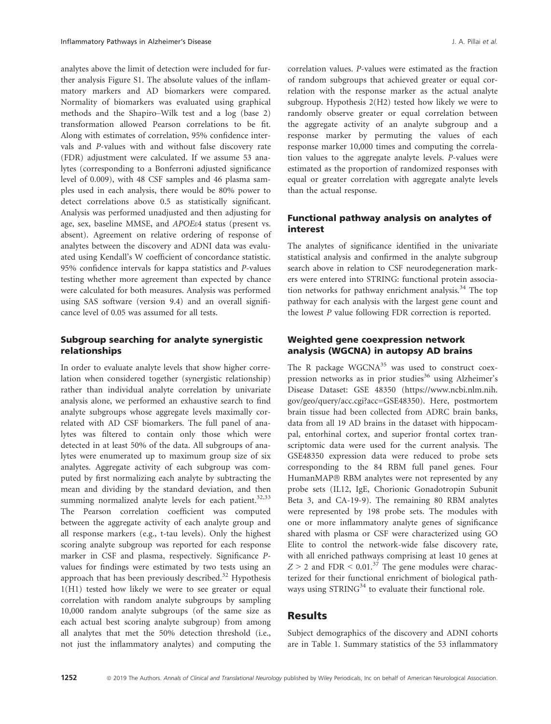analytes above the limit of detection were included for further analysis Figure S1. The absolute values of the inflammatory markers and AD biomarkers were compared. Normality of biomarkers was evaluated using graphical methods and the Shapiro–Wilk test and a log (base 2) transformation allowed Pearson correlations to be fit. Along with estimates of correlation, 95% confidence intervals and P-values with and without false discovery rate (FDR) adjustment were calculated. If we assume 53 analytes (corresponding to a Bonferroni adjusted significance level of 0.009), with 48 CSF samples and 46 plasma samples used in each analysis, there would be 80% power to detect correlations above 0.5 as statistically significant. Analysis was performed unadjusted and then adjusting for age, sex, baseline MMSE, and APOEe4 status (present vs. absent). Agreement on relative ordering of response of analytes between the discovery and ADNI data was evaluated using Kendall's W coefficient of concordance statistic. 95% confidence intervals for kappa statistics and P-values testing whether more agreement than expected by chance were calculated for both measures. Analysis was performed using SAS software (version 9.4) and an overall significance level of 0.05 was assumed for all tests.

### Subgroup searching for analyte synergistic relationships

In order to evaluate analyte levels that show higher correlation when considered together (synergistic relationship) rather than individual analyte correlation by univariate analysis alone, we performed an exhaustive search to find analyte subgroups whose aggregate levels maximally correlated with AD CSF biomarkers. The full panel of analytes was filtered to contain only those which were detected in at least 50% of the data. All subgroups of analytes were enumerated up to maximum group size of six analytes. Aggregate activity of each subgroup was computed by first normalizing each analyte by subtracting the mean and dividing by the standard deviation, and then summing normalized analyte levels for each patient. $32,33$ The Pearson correlation coefficient was computed between the aggregate activity of each analyte group and all response markers (e.g., t-tau levels). Only the highest scoring analyte subgroup was reported for each response marker in CSF and plasma, respectively. Significance Pvalues for findings were estimated by two tests using an approach that has been previously described.<sup>32</sup> Hypothesis 1(H1) tested how likely we were to see greater or equal correlation with random analyte subgroups by sampling 10,000 random analyte subgroups (of the same size as each actual best scoring analyte subgroup) from among all analytes that met the 50% detection threshold (i.e., not just the inflammatory analytes) and computing the correlation values. P-values were estimated as the fraction of random subgroups that achieved greater or equal correlation with the response marker as the actual analyte subgroup. Hypothesis 2(H2) tested how likely we were to randomly observe greater or equal correlation between the aggregate activity of an analyte subgroup and a response marker by permuting the values of each response marker 10,000 times and computing the correlation values to the aggregate analyte levels. P-values were estimated as the proportion of randomized responses with equal or greater correlation with aggregate analyte levels than the actual response.

### Functional pathway analysis on analytes of interest

The analytes of significance identified in the univariate statistical analysis and confirmed in the analyte subgroup search above in relation to CSF neurodegeneration markers were entered into STRING: functional protein association networks for pathway enrichment analysis.<sup>34</sup> The top pathway for each analysis with the largest gene count and the lowest P value following FDR correction is reported.

### Weighted gene coexpression network analysis (WGCNA) in autopsy AD brains

The R package  $WGCNA^{35}$  was used to construct coexpression networks as in prior studies<sup>36</sup> using Alzheimer's Disease Dataset: GSE 48350 ([https://www.ncbi.nlm.nih.](https://www.ncbi.nlm.nih.gov/geo/query/acc.cgi?acc=GSE48350) [gov/geo/query/acc.cgi?acc=GSE48350\)](https://www.ncbi.nlm.nih.gov/geo/query/acc.cgi?acc=GSE48350). Here, postmortem brain tissue had been collected from ADRC brain banks, data from all 19 AD brains in the dataset with hippocampal, entorhinal cortex, and superior frontal cortex transcriptomic data were used for the current analysis. The GSE48350 expression data were reduced to probe sets corresponding to the 84 RBM full panel genes. Four HumanMAP® RBM analytes were not represented by any probe sets (IL12, IgE, Chorionic Gonadotropin Subunit Beta 3, and CA-19-9). The remaining 80 RBM analytes were represented by 198 probe sets. The modules with one or more inflammatory analyte genes of significance shared with plasma or CSF were characterized using GO Elite to control the network-wide false discovery rate, with all enriched pathways comprising at least 10 genes at  $Z > 2$  and FDR < 0.01.<sup>37</sup> The gene modules were characterized for their functional enrichment of biological pathways using STRING<sup>34</sup> to evaluate their functional role.

### Results

Subject demographics of the discovery and ADNI cohorts are in Table 1. Summary statistics of the 53 inflammatory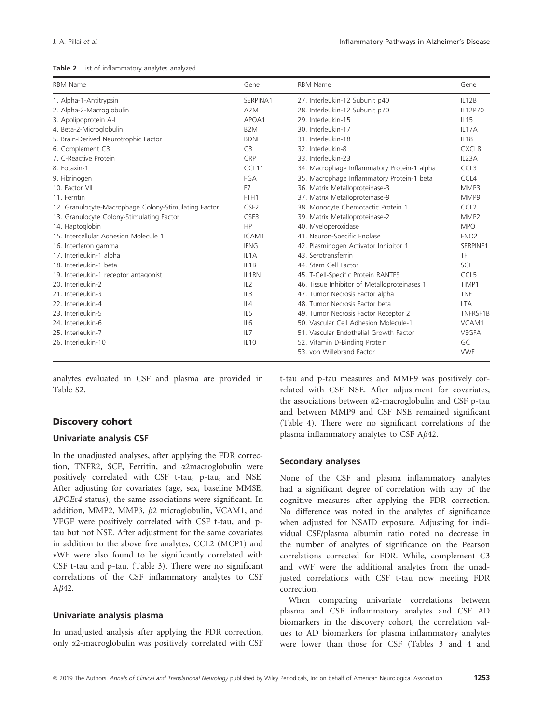|  |  | Table 2. List of inflammatory analytes analyzed. |  |  |
|--|--|--------------------------------------------------|--|--|
|--|--|--------------------------------------------------|--|--|

| <b>RBM Name</b>                                      | Gene              | <b>RBM Name</b>                              | Gene               |
|------------------------------------------------------|-------------------|----------------------------------------------|--------------------|
| 1. Alpha-1-Antitrypsin                               | SERPINA1          | 27. Interleukin-12 Subunit p40               | IL12B              |
| 2. Alpha-2-Macroglobulin                             | A <sub>2</sub> M  | 28. Interleukin-12 Subunit p70               | IL12P70            |
| 3. Apolipoprotein A-I                                | APOA1             | 29. Interleukin-15                           | IL15               |
| 4. Beta-2-Microglobulin                              | B <sub>2</sub> M  | 30. Interleukin-17                           | IL <sub>17</sub> A |
| 5. Brain-Derived Neurotrophic Factor                 | <b>BDNF</b>       | 31. Interleukin-18                           | IL18               |
| 6. Complement C3                                     | C <sub>3</sub>    | 32. Interleukin-8                            | CXCL8              |
| 7. C-Reactive Protein                                | CRP               | 33. Interleukin-23                           | IL23A              |
| 8. Eotaxin-1                                         | CCL11             | 34. Macrophage Inflammatory Protein-1 alpha  | CCL <sub>3</sub>   |
| 9. Fibrinogen                                        | FGA               | 35. Macrophage Inflammatory Protein-1 beta   | CCL4               |
| 10. Factor VII                                       | F7                | 36. Matrix Metalloproteinase-3               | MMP3               |
| 11. Ferritin                                         | FTH <sub>1</sub>  | 37. Matrix Metalloproteinase-9               | MMP9               |
| 12. Granulocyte-Macrophage Colony-Stimulating Factor | CSF <sub>2</sub>  | 38. Monocyte Chemotactic Protein 1           | CCL <sub>2</sub>   |
| 13. Granulocyte Colony-Stimulating Factor            | CSF3              | 39. Matrix Metalloproteinase-2               | MMP <sub>2</sub>   |
| 14. Haptoglobin                                      | HP                | 40. Myeloperoxidase                          | <b>MPO</b>         |
| 15. Intercellular Adhesion Molecule 1                | ICAM1             | 41. Neuron-Specific Enolase                  | ENO <sub>2</sub>   |
| 16. Interferon gamma                                 | <b>IFNG</b>       | 42. Plasminogen Activator Inhibitor 1        | SERPINE1           |
| 17. Interleukin-1 alpha                              | IL <sub>1</sub> A | 43. Serotransferrin                          | TF                 |
| 18. Interleukin-1 beta                               | IL <sub>1</sub> B | 44. Stem Cell Factor                         | SCF                |
| 19. Interleukin-1 receptor antagonist                | IL1RN             | 45. T-Cell-Specific Protein RANTES           | CCL <sub>5</sub>   |
| 20. Interleukin-2                                    | IL2               | 46. Tissue Inhibitor of Metalloproteinases 1 | TIMP1              |
| 21. Interleukin-3                                    | IL3               | 47. Tumor Necrosis Factor alpha              | <b>TNF</b>         |
| 22. Interleukin-4                                    | II.4              | 48. Tumor Necrosis Factor beta               | <b>LTA</b>         |
| 23. Interleukin-5                                    | IL <sub>5</sub>   | 49. Tumor Necrosis Factor Receptor 2         | TNFRSF1B           |
| 24. Interleukin-6                                    | IL6               | 50. Vascular Cell Adhesion Molecule-1        | VCAM1              |
| 25. Interleukin-7                                    | IL7               | 51. Vascular Endothelial Growth Factor       | <b>VEGFA</b>       |
| 26. Interleukin-10                                   | <b>IL10</b>       | 52. Vitamin D-Binding Protein                | GC                 |
|                                                      |                   | 53. von Willebrand Factor                    | <b>VWF</b>         |

analytes evaluated in CSF and plasma are provided in Table S2.

#### Discovery cohort

### Univariate analysis CSF

In the unadjusted analyses, after applying the FDR correction, TNFR2, SCF, Ferritin, and a2macroglobulin were positively correlated with CSF t-tau, p-tau, and NSE. After adjusting for covariates (age, sex, baseline MMSE, APOEe4 status), the same associations were significant. In addition, MMP2, MMP3,  $\beta$ 2 microglobulin, VCAM1, and VEGF were positively correlated with CSF t-tau, and ptau but not NSE. After adjustment for the same covariates in addition to the above five analytes, CCL2 (MCP1) and vWF were also found to be significantly correlated with CSF t-tau and p-tau. (Table 3). There were no significant correlations of the CSF inflammatory analytes to CSF  $A\beta$ 42.

#### Univariate analysis plasma

In unadjusted analysis after applying the FDR correction, only a2-macroglobulin was positively correlated with CSF t-tau and p-tau measures and MMP9 was positively correlated with CSF NSE. After adjustment for covariates, the associations between a2-macroglobulin and CSF p-tau and between MMP9 and CSF NSE remained significant (Table 4). There were no significant correlations of the plasma inflammatory analytes to CSF  $A\beta$ 42.

#### Secondary analyses

None of the CSF and plasma inflammatory analytes had a significant degree of correlation with any of the cognitive measures after applying the FDR correction. No difference was noted in the analytes of significance when adjusted for NSAID exposure. Adjusting for individual CSF/plasma albumin ratio noted no decrease in the number of analytes of significance on the Pearson correlations corrected for FDR. While, complement C3 and vWF were the additional analytes from the unadjusted correlations with CSF t-tau now meeting FDR correction.

When comparing univariate correlations between plasma and CSF inflammatory analytes and CSF AD biomarkers in the discovery cohort, the correlation values to AD biomarkers for plasma inflammatory analytes were lower than those for CSF (Tables 3 and 4 and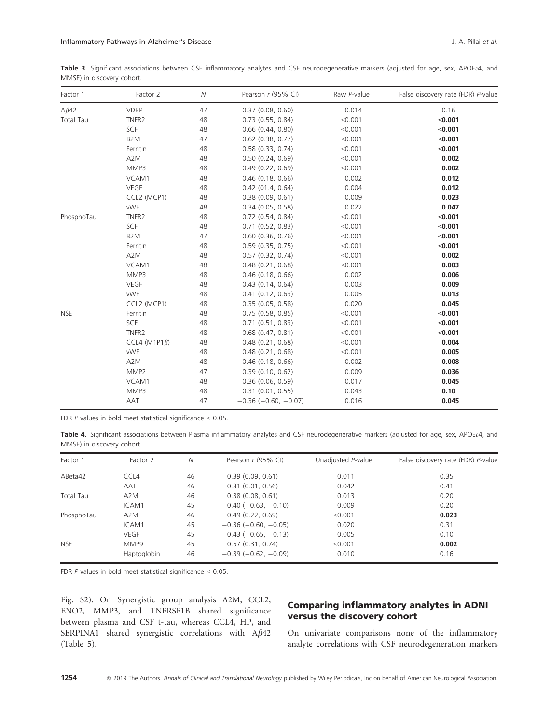Table 3. Significant associations between CSF inflammatory analytes and CSF neurodegenerative markers (adjusted for age, sex, APOE&4, and MMSE) in discovery cohort.

| Factor 1    | Factor 2             | ${\cal N}$ | Pearson r (95% CI)            | Raw P-value | False discovery rate (FDR) P-value |
|-------------|----------------------|------------|-------------------------------|-------------|------------------------------------|
| $A\beta 42$ | <b>VDBP</b>          | 47         | 0.37(0.08, 0.60)              | 0.014       | 0.16                               |
| Total Tau   | TNFR <sub>2</sub>    | 48         | $0.73$ $(0.55, 0.84)$         | < 0.001     | < 0.001                            |
|             | SCF                  | 48         | $0.66$ $(0.44, 0.80)$         | < 0.001     | < 0.001                            |
|             | B <sub>2</sub> M     | 47         | $0.62$ $(0.38, 0.77)$         | < 0.001     | < 0.001                            |
|             | Ferritin             | 48         | 0.58(0.33, 0.74)              | < 0.001     | < 0.001                            |
|             | A2M                  | 48         | 0.50(0.24, 0.69)              | < 0.001     | 0.002                              |
|             | MMP3                 | 48         | 0.49(0.22, 0.69)              | < 0.001     | 0.002                              |
|             | VCAM1                | 48         | $0.46$ (0.18, 0.66)           | 0.002       | 0.012                              |
|             | <b>VEGF</b>          | 48         | 0.42(01.4, 0.64)              | 0.004       | 0.012                              |
|             | CCL2 (MCP1)          | 48         | 0.38(0.09, 0.61)              | 0.009       | 0.023                              |
|             | vWF                  | 48         | 0.34(0.05, 0.58)              | 0.022       | 0.047                              |
| PhosphoTau  | TNFR <sub>2</sub>    | 48         | $0.72$ $(0.54, 0.84)$         | < 0.001     | < 0.001                            |
|             | SCF                  | 48         | $0.71$ $(0.52, 0.83)$         | < 0.001     | < 0.001                            |
|             | B <sub>2</sub> M     | 47         | $0.60$ $(0.36, 0.76)$         | < 0.001     | < 0.001                            |
|             | Ferritin             | 48         | $0.59$ (0.35, 0.75)           | < 0.001     | < 0.001                            |
|             | A2M                  | 48         | 0.57(0.32, 0.74)              | < 0.001     | 0.002                              |
|             | VCAM1                | 48         | $0.48$ $(0.21, 0.68)$         | < 0.001     | 0.003                              |
|             | MMP3                 | 48         | $0.46$ (0.18, 0.66)           | 0.002       | 0.006                              |
|             | <b>VEGF</b>          | 48         | 0.43(0.14, 0.64)              | 0.003       | 0.009                              |
|             | vWF                  | 48         | 0.41(0.12, 0.63)              | 0.005       | 0.013                              |
|             | CCL2 (MCP1)          | 48         | 0.35(0.05, 0.58)              | 0.020       | 0.045                              |
| <b>NSE</b>  | Ferritin             | 48         | 0.75(0.58, 0.85)              | < 0.001     | < 0.001                            |
|             | SCF                  | 48         | 0.71(0.51, 0.83)              | < 0.001     | < 0.001                            |
|             | TNFR <sub>2</sub>    | 48         | $0.68$ $(0.47, 0.81)$         | < 0.001     | < 0.001                            |
|             | CCL4 (M1P1 $\beta$ ) | 48         | 0.48(0.21, 0.68)              | < 0.001     | 0.004                              |
|             | vWF                  | 48         | 0.48(0.21, 0.68)              | < 0.001     | 0.005                              |
|             | A2M                  | 48         | $0.46$ (0.18, 0.66)           | 0.002       | 0.008                              |
|             | MMP2                 | 47         | 0.39(0.10, 0.62)              | 0.009       | 0.036                              |
|             | VCAM1                | 48         | 0.36(0.06, 0.59)              | 0.017       | 0.045                              |
|             | MMP3                 | 48         | 0.31(0.01, 0.55)              | 0.043       | 0.10                               |
|             | AAT                  | 47         | $-0.36$ ( $-0.60$ , $-0.07$ ) | 0.016       | 0.045                              |

FDR  $P$  values in bold meet statistical significance  $< 0.05$ .

Table 4. Significant associations between Plasma inflammatory analytes and CSF neurodegenerative markers (adjusted for age, sex, APOE&4, and MMSE) in discovery cohort.

| Factor 1   | Factor 2         | Ν  | Pearson r (95% CI)            | Unadjusted P-value | False discovery rate (FDR) P-value |
|------------|------------------|----|-------------------------------|--------------------|------------------------------------|
| ABeta42    | CCL4             | 46 | 0.39(0.09, 0.61)              | 0.011              | 0.35                               |
|            | AAT              | 46 | 0.31(0.01, 0.56)              | 0.042              | 0.41                               |
| Total Tau  | A <sub>2</sub> M | 46 | 0.38(0.08, 0.61)              | 0.013              | 0.20                               |
|            | ICAM1            | 45 | $-0.40$ ( $-0.63$ , $-0.10$ ) | 0.009              | 0.20                               |
| PhosphoTau | A <sub>2</sub> M | 46 | 0.49(0.22, 0.69)              | < 0.001            | 0.023                              |
|            | ICAM1            | 45 | $-0.36$ ( $-0.60, -0.05$ )    | 0.020              | 0.31                               |
|            | <b>VEGF</b>      | 45 | $-0.43$ ( $-0.65$ , $-0.13$ ) | 0.005              | 0.10                               |
| <b>NSE</b> | MMP9             | 45 | 0.57(0.31, 0.74)              | < 0.001            | 0.002                              |
|            | Haptoglobin      | 46 | $-0.39$ ( $-0.62$ , $-0.09$ ) | 0.010              | 0.16                               |

FDR P values in bold meet statistical significance < 0.05.

Fig. S2). On Synergistic group analysis A2M, CCL2, ENO2, MMP3, and TNFRSF1B shared significance between plasma and CSF t-tau, whereas CCL4, HP, and SERPINA1 shared synergistic correlations with  $A\beta 42$ (Table 5).

### Comparing inflammatory analytes in ADNI versus the discovery cohort

On univariate comparisons none of the inflammatory analyte correlations with CSF neurodegeneration markers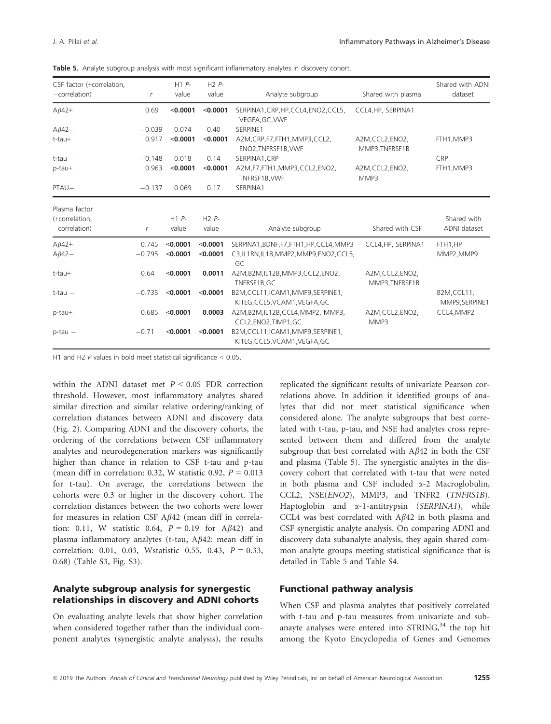|  |  |  |  |  | <b>Table 5.</b> Analyte subgroup analysis with most significant inflammatory analytes in discovery cohort. |  |
|--|--|--|--|--|------------------------------------------------------------------------------------------------------------|--|
|--|--|--|--|--|------------------------------------------------------------------------------------------------------------|--|

| CSF factor (+correlation,<br>$-correlation)$       | r                 | H1P<br>value         | $H2P$ -<br>value     | Analyte subgroup                                                                           | Shared with plasma                 | Shared with ADNI<br>dataset  |
|----------------------------------------------------|-------------------|----------------------|----------------------|--------------------------------------------------------------------------------------------|------------------------------------|------------------------------|
| $A\beta 42+$                                       | 0.69              | < 0.0001             | < 0.0001             | SERPINA1, CRP, HP, CCL4, ENO2, CCL5,<br>VEGFA, GC, VWF                                     | CCL4, HP, SERPINA1                 |                              |
| $A\beta42-$                                        | $-0.039$          | 0.074                | 0.40                 | SERPINE1                                                                                   |                                    |                              |
| $t$ -tau $+$                                       | 0.917             | < 0.0001             | < 0.0001             | A2M, CRP, F7, FTH1, MMP3, CCL2,<br>ENO2, TNFRSF1B, VWF                                     | A2M,CCL2,ENO2,<br>MMP3, TNFRSF1B   | FTH1, MMP3                   |
| $t$ -tau $-$                                       | $-0.148$          | 0.018                | 0.14                 | SERPINA1.CRP                                                                               |                                    | CRP                          |
| p-tau+                                             | 0.963             | < 0.0001             | < 0.0001             | A2M,F7,FTH1,MMP3,CCL2,ENO2,<br>TNFRSF1B, VWF                                               | A2M, CCL2, ENO2,<br>MMP3           | FTH1, MMP3                   |
| PTAU-                                              | $-0.137$          | 0.069                | 0.17                 | SERPINA1                                                                                   |                                    |                              |
| Plasma factor<br>(+correlation,<br>$-correlation)$ | $\mathsf{r}$      | H1P<br>value         | $H2P$ -<br>value     | Analyte subgroup                                                                           | Shared with CSF                    | Shared with<br>ADNI dataset  |
| $A\beta 42+$<br>$A\beta 42-$                       | 0.745<br>$-0.795$ | < 0.0001<br>< 0.0001 | < 0.0001<br>< 0.0001 | SERPINA1, BDNF, F7, FTH1, HP, CCL4, MMP3<br>C3, IL1RN, IL18, MMP2, MMP9, ENO2, CCL5,<br>GC | CCL4, HP, SERPINA1                 | FTH1.HP<br>MMP2, MMP9        |
| $t$ -tau $+$                                       | 0.64              | < 0.0001             | 0.0011               | A2M,B2M,IL12B,MMP3,CCL2,ENO2,<br>TNFRSF1B, GC                                              | A2M, CCL2, ENO2,<br>MMP3, TNFRSF1B |                              |
| $t$ -tau $-$                                       | $-0.735$          | < 0.0001             | < 0.0001             | B2M, CCL11, ICAM1, MMP9, SERPINE1,<br>KITLG, CCL5, VCAM1, VEGFA, GC                        |                                    | B2M,CCL11,<br>MMP9, SERPINE1 |
| p-tau+                                             | 0.685             | < 0.0001             | 0.0003               | A2M,B2M,IL12B,CCL4,MMP2, MMP3,<br>CCL2, ENO2, TIMP1, GC                                    | A2M, CCL2, ENO2,<br>MMP3           | CCL4, MMP2                   |
| $p$ -tau $-$                                       | $-0.71$           | < 0.0001             | < 0.0001             | B2M, CCL11, ICAM1, MMP9, SERPINE1,<br>KITLG, CCL5, VCAM1, VEGFA, GC                        |                                    |                              |

H1 and H2 P values in bold meet statistical significance < 0.05.

within the ADNI dataset met  $P \leq 0.05$  FDR correction threshold. However, most inflammatory analytes shared similar direction and similar relative ordering/ranking of correlation distances between ADNI and discovery data (Fig. 2). Comparing ADNI and the discovery cohorts, the ordering of the correlations between CSF inflammatory analytes and neurodegeneration markers was significantly higher than chance in relation to CSF t-tau and p-tau (mean diff in correlation: 0.32, W statistic 0.92,  $P = 0.013$ for t-tau). On average, the correlations between the cohorts were 0.3 or higher in the discovery cohort. The correlation distances between the two cohorts were lower for measures in relation CSF  $A\beta 42$  (mean diff in correlation: 0.11, W statistic 0.64,  $P = 0.19$  for A $\beta$ 42) and plasma inflammatory analytes (t-tau,  $A\beta$ 42: mean diff in correlation: 0.01, 0.03, Wstatistic 0.55, 0.43,  $P = 0.33$ , 0.68) (Table S3, Fig. S3).

### Analyte subgroup analysis for synergestic relationships in discovery and ADNI cohorts

On evaluating analyte levels that show higher correlation when considered together rather than the individual component analytes (synergistic analyte analysis), the results replicated the significant results of univariate Pearson correlations above. In addition it identified groups of analytes that did not meet statistical significance when considered alone. The analyte subgroups that best correlated with t-tau, p-tau, and NSE had analytes cross represented between them and differed from the analyte subgroup that best correlated with  $A\beta 42$  in both the CSF and plasma (Table 5). The synergistic analytes in the discovery cohort that correlated with t-tau that were noted in both plasma and CSF included  $\alpha$ -2 Macroglobulin, CCL2, NSE(ENO2), MMP3, and TNFR2 (TNFRS1B). Haptoglobin and  $\alpha$ -1-antitrypsin (SERPINA1), while CCL4 was best correlated with  $A\beta 42$  in both plasma and CSF synergistic analyte analysis. On comparing ADNI and discovery data subanalyte analysis, they again shared common analyte groups meeting statistical significance that is detailed in Table 5 and Table S4.

### Functional pathway analysis

When CSF and plasma analytes that positively correlated with t-tau and p-tau measures from univariate and subanayte analyses were entered into  $STRING<sub>3</sub><sup>34</sup>$  the top hit among the Kyoto Encyclopedia of Genes and Genomes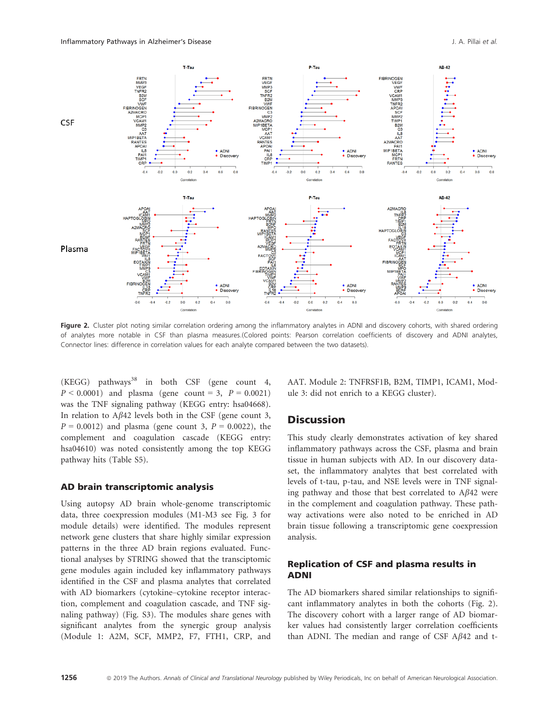

Figure 2. Cluster plot noting similar correlation ordering among the inflammatory analytes in ADNI and discovery cohorts, with shared ordering of analytes more notable in CSF than plasma measures.(Colored points: Pearson correlation coefficients of discovery and ADNI analytes, Connector lines: difference in correlation values for each analyte compared between the two datasets).

 $(KEGG)$  pathways<sup>38</sup> in both CSF (gene count 4,  $P < 0.0001$ ) and plasma (gene count = 3,  $P = 0.0021$ ) was the TNF signaling pathway (KEGG entry: hsa04668). In relation to  $A\beta 42$  levels both in the CSF (gene count 3,  $P = 0.0012$ ) and plasma (gene count 3,  $P = 0.0022$ ), the complement and coagulation cascade (KEGG entry: hsa04610) was noted consistently among the top KEGG pathway hits (Table S5).

#### AD brain transcriptomic analysis

Using autopsy AD brain whole-genome transcriptomic data, three coexpression modules (M1-M3 see Fig. 3 for module details) were identified. The modules represent network gene clusters that share highly similar expression patterns in the three AD brain regions evaluated. Functional analyses by STRING showed that the transciptomic gene modules again included key inflammatory pathways identified in the CSF and plasma analytes that correlated with AD biomarkers (cytokine–cytokine receptor interaction, complement and coagulation cascade, and TNF signaling pathway) (Fig. S3). The modules share genes with significant analytes from the synergic group analysis (Module 1: A2M, SCF, MMP2, F7, FTH1, CRP, and AAT. Module 2: TNFRSF1B, B2M, TIMP1, ICAM1, Module 3: did not enrich to a KEGG cluster).

### **Discussion**

This study clearly demonstrates activation of key shared inflammatory pathways across the CSF, plasma and brain tissue in human subjects with AD. In our discovery dataset, the inflammatory analytes that best correlated with levels of t-tau, p-tau, and NSE levels were in TNF signaling pathway and those that best correlated to  $A\beta 42$  were in the complement and coagulation pathway. These pathway activations were also noted to be enriched in AD brain tissue following a transcriptomic gene coexpression analysis.

### Replication of CSF and plasma results in ADNI

The AD biomarkers shared similar relationships to significant inflammatory analytes in both the cohorts (Fig. 2). The discovery cohort with a larger range of AD biomarker values had consistently larger correlation coefficients than ADNI. The median and range of CSF  $A\beta$ 42 and t-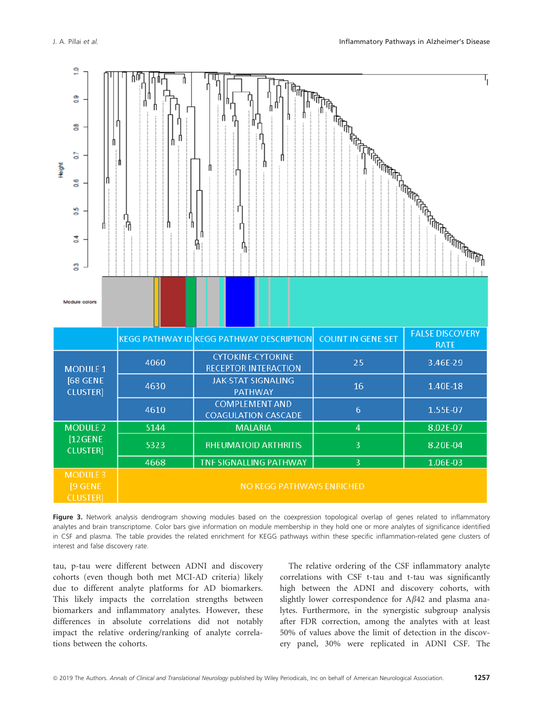

Figure 3. Network analysis dendrogram showing modules based on the coexpression topological overlap of genes related to inflammatory analytes and brain transcriptome. Color bars give information on module membership in they hold one or more analytes of significance identified in CSF and plasma. The table provides the related enrichment for KEGG pathways within these specific inflammation-related gene clusters of interest and false discovery rate.

tau, p-tau were different between ADNI and discovery cohorts (even though both met MCI-AD criteria) likely due to different analyte platforms for AD biomarkers. This likely impacts the correlation strengths between biomarkers and inflammatory analytes. However, these differences in absolute correlations did not notably impact the relative ordering/ranking of analyte correlations between the cohorts.

The relative ordering of the CSF inflammatory analyte correlations with CSF t-tau and t-tau was significantly high between the ADNI and discovery cohorts, with slightly lower correspondence for  $A\beta 42$  and plasma analytes. Furthermore, in the synergistic subgroup analysis after FDR correction, among the analytes with at least 50% of values above the limit of detection in the discovery panel, 30% were replicated in ADNI CSF. The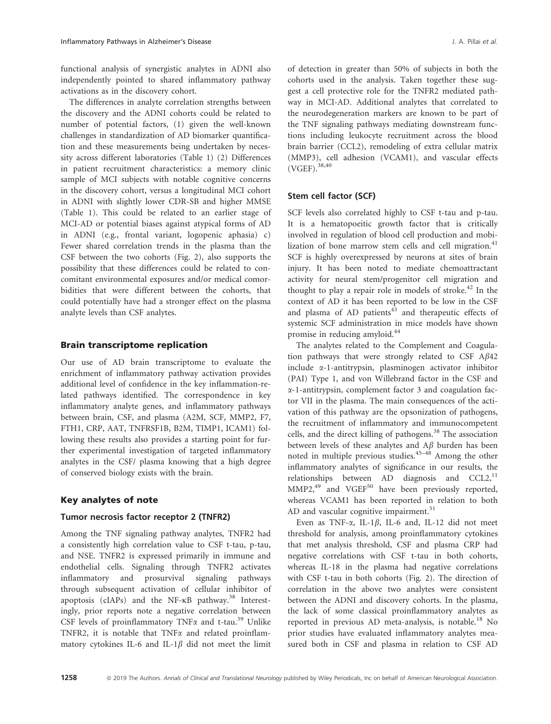functional analysis of synergistic analytes in ADNI also independently pointed to shared inflammatory pathway activations as in the discovery cohort.

The differences in analyte correlation strengths between the discovery and the ADNI cohorts could be related to number of potential factors, (1) given the well-known challenges in standardization of AD biomarker quantification and these measurements being undertaken by necessity across different laboratories (Table 1) (2) Differences in patient recruitment characteristics: a memory clinic sample of MCI subjects with notable cognitive concerns in the discovery cohort, versus a longitudinal MCI cohort in ADNI with slightly lower CDR-SB and higher MMSE (Table 1). This could be related to an earlier stage of MCI-AD or potential biases against atypical forms of AD in ADNI (e.g., frontal variant, logopenic aphasia) c) Fewer shared correlation trends in the plasma than the CSF between the two cohorts (Fig. 2), also supports the possibility that these differences could be related to concomitant environmental exposures and/or medical comorbidities that were different between the cohorts, that could potentially have had a stronger effect on the plasma analyte levels than CSF analytes.

#### Brain transcriptome replication

Our use of AD brain transcriptome to evaluate the enrichment of inflammatory pathway activation provides additional level of confidence in the key inflammation-related pathways identified. The correspondence in key inflammatory analyte genes, and inflammatory pathways between brain, CSF, and plasma (A2M, SCF, MMP2, F7, FTH1, CRP, AAT, TNFRSF1B, B2M, TIMP1, ICAM1) following these results also provides a starting point for further experimental investigation of targeted inflammatory analytes in the CSF/ plasma knowing that a high degree of conserved biology exists with the brain.

### Key analytes of note

#### Tumor necrosis factor receptor 2 (TNFR2)

Among the TNF signaling pathway analytes, TNFR2 had a consistently high correlation value to CSF t-tau, p-tau, and NSE. TNFR2 is expressed primarily in immune and endothelial cells. Signaling through TNFR2 activates inflammatory and prosurvival signaling pathways through subsequent activation of cellular inhibitor of apoptosis (cIAPs) and the NF- $\kappa$ B pathway.<sup>38</sup> Interestingly, prior reports note a negative correlation between CSF levels of proinflammatory TNF $\alpha$  and t-tau.<sup>39</sup> Unlike TNFR2, it is notable that  $TNF\alpha$  and related proinflammatory cytokines IL-6 and IL-1 $\beta$  did not meet the limit of detection in greater than 50% of subjects in both the cohorts used in the analysis. Taken together these suggest a cell protective role for the TNFR2 mediated pathway in MCI-AD. Additional analytes that correlated to the neurodegeneration markers are known to be part of the TNF signaling pathways mediating downstream functions including leukocyte recruitment across the blood brain barrier (CCL2), remodeling of extra cellular matrix (MMP3), cell adhesion (VCAM1), and vascular effects  $(VGEF)$ <sup>38,40</sup>

#### Stem cell factor (SCF)

SCF levels also correlated highly to CSF t-tau and p-tau. It is a hematopoeitic growth factor that is critically involved in regulation of blood cell production and mobilization of bone marrow stem cells and cell migration. $41$ SCF is highly overexpressed by neurons at sites of brain injury. It has been noted to mediate chemoattractant activity for neural stem/progenitor cell migration and thought to play a repair role in models of stroke.<sup>42</sup> In the context of AD it has been reported to be low in the CSF and plasma of AD patients $43$  and therapeutic effects of systemic SCF administration in mice models have shown promise in reducing amyloid.<sup>44</sup>

The analytes related to the Complement and Coagulation pathways that were strongly related to CSF  $A\beta 42$ include a-1-antitrypsin, plasminogen activator inhibitor (PAI) Type 1, and von Willebrand factor in the CSF and a-1-antitrypsin, complement factor 3 and coagulation factor VII in the plasma. The main consequences of the activation of this pathway are the opsonization of pathogens, the recruitment of inflammatory and immunocompetent cells, and the direct killing of pathogens.<sup>38</sup> The association between levels of these analytes and  $A\beta$  burden has been noted in multiple previous studies.45–48 Among the other inflammatory analytes of significance in our results, the relationships between AD diagnosis and CCL2,<sup>11</sup>  $MMP2<sub>1</sub><sup>49</sup>$  and VGEF<sup>50</sup> have been previously reported, whereas VCAM1 has been reported in relation to both AD and vascular cognitive impairment. $51$ 

Even as TNF- $\alpha$ , IL-1 $\beta$ , IL-6 and, IL-12 did not meet threshold for analysis, among proinflammatory cytokines that met analysis threshold, CSF and plasma CRP had negative correlations with CSF t-tau in both cohorts, whereas IL-18 in the plasma had negative correlations with CSF t-tau in both cohorts (Fig. 2). The direction of correlation in the above two analytes were consistent between the ADNI and discovery cohorts. In the plasma, the lack of some classical proinflammatory analytes as reported in previous AD meta-analysis, is notable.<sup>18</sup> No prior studies have evaluated inflammatory analytes measured both in CSF and plasma in relation to CSF AD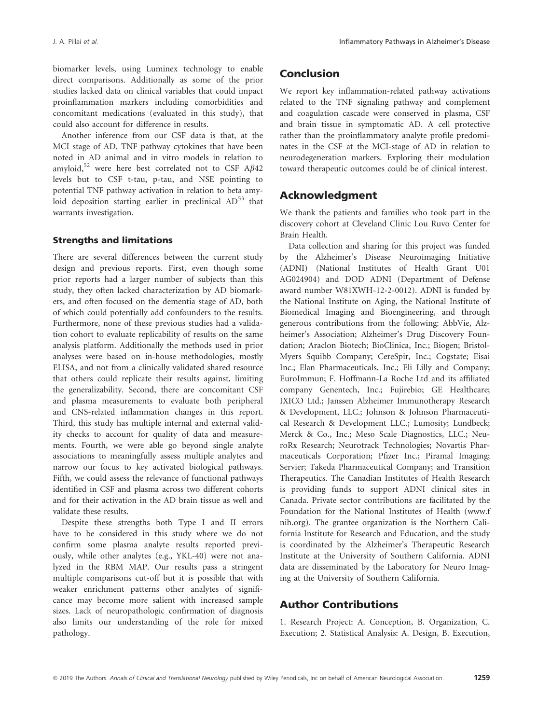biomarker levels, using Luminex technology to enable direct comparisons. Additionally as some of the prior studies lacked data on clinical variables that could impact proinflammation markers including comorbidities and concomitant medications (evaluated in this study), that could also account for difference in results.

Another inference from our CSF data is that, at the MCI stage of AD, TNF pathway cytokines that have been noted in AD animal and in vitro models in relation to amyloid,<sup>52</sup> were here best correlated not to CSF  $A\beta$ 42 levels but to CSF t-tau, p-tau, and NSE pointing to potential TNF pathway activation in relation to beta amyloid deposition starting earlier in preclinical  $AD<sup>53</sup>$  that warrants investigation.

#### Strengths and limitations

There are several differences between the current study design and previous reports. First, even though some prior reports had a larger number of subjects than this study, they often lacked characterization by AD biomarkers, and often focused on the dementia stage of AD, both of which could potentially add confounders to the results. Furthermore, none of these previous studies had a validation cohort to evaluate replicability of results on the same analysis platform. Additionally the methods used in prior analyses were based on in-house methodologies, mostly ELISA, and not from a clinically validated shared resource that others could replicate their results against, limiting the generalizability. Second, there are concomitant CSF and plasma measurements to evaluate both peripheral and CNS-related inflammation changes in this report. Third, this study has multiple internal and external validity checks to account for quality of data and measurements. Fourth, we were able go beyond single analyte associations to meaningfully assess multiple analytes and narrow our focus to key activated biological pathways. Fifth, we could assess the relevance of functional pathways identified in CSF and plasma across two different cohorts and for their activation in the AD brain tissue as well and validate these results.

Despite these strengths both Type I and II errors have to be considered in this study where we do not confirm some plasma analyte results reported previously, while other analytes (e.g., YKL-40) were not analyzed in the RBM MAP. Our results pass a stringent multiple comparisons cut-off but it is possible that with weaker enrichment patterns other analytes of significance may become more salient with increased sample sizes. Lack of neuropathologic confirmation of diagnosis also limits our understanding of the role for mixed pathology.

## Conclusion

We report key inflammation-related pathway activations related to the TNF signaling pathway and complement and coagulation cascade were conserved in plasma, CSF and brain tissue in symptomatic AD. A cell protective rather than the proinflammatory analyte profile predominates in the CSF at the MCI-stage of AD in relation to neurodegeneration markers. Exploring their modulation toward therapeutic outcomes could be of clinical interest.

### Acknowledgment

We thank the patients and families who took part in the discovery cohort at Cleveland Clinic Lou Ruvo Center for Brain Health.

Data collection and sharing for this project was funded by the Alzheimer's Disease Neuroimaging Initiative (ADNI) (National Institutes of Health Grant U01 AG024904) and DOD ADNI (Department of Defense award number W81XWH-12-2-0012). ADNI is funded by the National Institute on Aging, the National Institute of Biomedical Imaging and Bioengineering, and through generous contributions from the following: AbbVie, Alzheimer's Association; Alzheimer's Drug Discovery Foundation; Araclon Biotech; BioClinica, Inc.; Biogen; Bristol-Myers Squibb Company; CereSpir, Inc.; Cogstate; Eisai Inc.; Elan Pharmaceuticals, Inc.; Eli Lilly and Company; EuroImmun; F. Hoffmann-La Roche Ltd and its affiliated company Genentech, Inc.; Fujirebio; GE Healthcare; IXICO Ltd.; Janssen Alzheimer Immunotherapy Research & Development, LLC.; Johnson & Johnson Pharmaceutical Research & Development LLC.; Lumosity; Lundbeck; Merck & Co., Inc.; Meso Scale Diagnostics, LLC.; NeuroRx Research; Neurotrack Technologies; Novartis Pharmaceuticals Corporation; Pfizer Inc.; Piramal Imaging; Servier; Takeda Pharmaceutical Company; and Transition Therapeutics. The Canadian Institutes of Health Research is providing funds to support ADNI clinical sites in Canada. Private sector contributions are facilitated by the Foundation for the National Institutes of Health [\(www.f](http://www.fnih.org) [nih.org](http://www.fnih.org)). The grantee organization is the Northern California Institute for Research and Education, and the study is coordinated by the Alzheimer's Therapeutic Research Institute at the University of Southern California. ADNI data are disseminated by the Laboratory for Neuro Imaging at the University of Southern California.

### Author Contributions

1. Research Project: A. Conception, B. Organization, C. Execution; 2. Statistical Analysis: A. Design, B. Execution,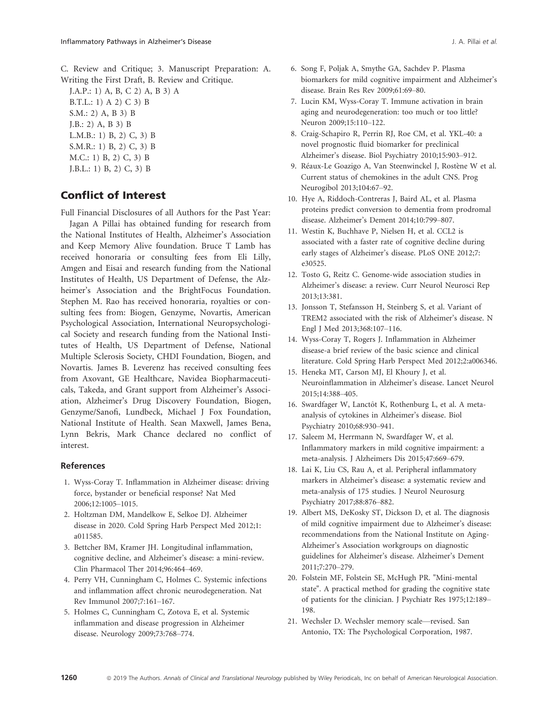C. Review and Critique; 3. Manuscript Preparation: A. Writing the First Draft, B. Review and Critique.

J.A.P.: 1) A, B, C 2) A, B 3) A B.T.L.: 1) A 2) C 3) B S.M.: 2) A, B 3) B J.B.: 2) A, B 3) B L.M.B.: 1) B, 2) C, 3) B S.M.R.: 1) B, 2) C, 3) B M.C.: 1) B, 2) C, 3) B J.B.L.: 1) B, 2) C, 3) B

# Conflict of Interest

Full Financial Disclosures of all Authors for the Past Year:

Jagan A Pillai has obtained funding for research from the National Institutes of Health, Alzheimer's Association and Keep Memory Alive foundation. Bruce T Lamb has received honoraria or consulting fees from Eli Lilly, Amgen and Eisai and research funding from the National Institutes of Health, US Department of Defense, the Alzheimer's Association and the BrightFocus Foundation. Stephen M. Rao has received honoraria, royalties or consulting fees from: Biogen, Genzyme, Novartis, American Psychological Association, International Neuropsychological Society and research funding from the National Institutes of Health, US Department of Defense, National Multiple Sclerosis Society, CHDI Foundation, Biogen, and Novartis. James B. Leverenz has received consulting fees from Axovant, GE Healthcare, Navidea Biopharmaceuticals, Takeda, and Grant support from Alzheimer's Association, Alzheimer's Drug Discovery Foundation, Biogen, Genzyme/Sanofi, Lundbeck, Michael J Fox Foundation, National Institute of Health. Sean Maxwell, James Bena, Lynn Bekris, Mark Chance declared no conflict of interest.

#### References

- 1. Wyss-Coray T. Inflammation in Alzheimer disease: driving force, bystander or beneficial response? Nat Med 2006;12:1005–1015.
- 2. Holtzman DM, Mandelkow E, Selkoe DJ. Alzheimer disease in 2020. Cold Spring Harb Perspect Med 2012;1: a011585.
- 3. Bettcher BM, Kramer JH. Longitudinal inflammation, cognitive decline, and Alzheimer's disease: a mini-review. Clin Pharmacol Ther 2014;96:464–469.
- 4. Perry VH, Cunningham C, Holmes C. Systemic infections and inflammation affect chronic neurodegeneration. Nat Rev Immunol 2007;7:161–167.
- 5. Holmes C, Cunningham C, Zotova E, et al. Systemic inflammation and disease progression in Alzheimer disease. Neurology 2009;73:768–774.
- 6. Song F, Poljak A, Smythe GA, Sachdev P. Plasma biomarkers for mild cognitive impairment and Alzheimer's disease. Brain Res Rev 2009;61:69–80.
- 7. Lucin KM, Wyss-Coray T. Immune activation in brain aging and neurodegeneration: too much or too little? Neuron 2009;15:110–122.
- 8. Craig-Schapiro R, Perrin RJ, Roe CM, et al. YKL-40: a novel prognostic fluid biomarker for preclinical Alzheimer's disease. Biol Psychiatry 2010;15:903–912.
- 9. Réaux-Le Goazigo A, Van Steenwinckel J, Rostène W et al. Current status of chemokines in the adult CNS. Prog Neurogibol 2013;104:67–92.
- 10. Hye A, Riddoch-Contreras J, Baird AL, et al. Plasma proteins predict conversion to dementia from prodromal disease. Alzheimer's Dement 2014;10:799–807.
- 11. Westin K, Buchhave P, Nielsen H, et al. CCL2 is associated with a faster rate of cognitive decline during early stages of Alzheimer's disease. PLoS ONE 2012;7: e30525.
- 12. Tosto G, Reitz C. Genome-wide association studies in Alzheimer's disease: a review. Curr Neurol Neurosci Rep 2013;13:381.
- 13. Jonsson T, Stefansson H, Steinberg S, et al. Variant of TREM2 associated with the risk of Alzheimer's disease. N Engl J Med 2013;368:107–116.
- 14. Wyss-Coray T, Rogers J. Inflammation in Alzheimer disease-a brief review of the basic science and clinical literature. Cold Spring Harb Perspect Med 2012;2:a006346.
- 15. Heneka MT, Carson MJ, El Khoury J, et al. Neuroinflammation in Alzheimer's disease. Lancet Neurol 2015;14:388–405.
- 16. Swardfager W, Lanctôt K, Rothenburg L, et al. A metaanalysis of cytokines in Alzheimer's disease. Biol Psychiatry 2010;68:930–941.
- 17. Saleem M, Herrmann N, Swardfager W, et al. Inflammatory markers in mild cognitive impairment: a meta-analysis. J Alzheimers Dis 2015;47:669–679.
- 18. Lai K, Liu CS, Rau A, et al. Peripheral inflammatory markers in Alzheimer's disease: a systematic review and meta-analysis of 175 studies. J Neurol Neurosurg Psychiatry 2017;88:876–882.
- 19. Albert MS, DeKosky ST, Dickson D, et al. The diagnosis of mild cognitive impairment due to Alzheimer's disease: recommendations from the National Institute on Aging-Alzheimer's Association workgroups on diagnostic guidelines for Alzheimer's disease. Alzheimer's Dement 2011;7:270–279.
- 20. Folstein MF, Folstein SE, McHugh PR. "Mini-mental state". A practical method for grading the cognitive state of patients for the clinician. J Psychiatr Res 1975;12:189– 198.
- 21. Wechsler D. Wechsler memory scale—revised. San Antonio, TX: The Psychological Corporation, 1987.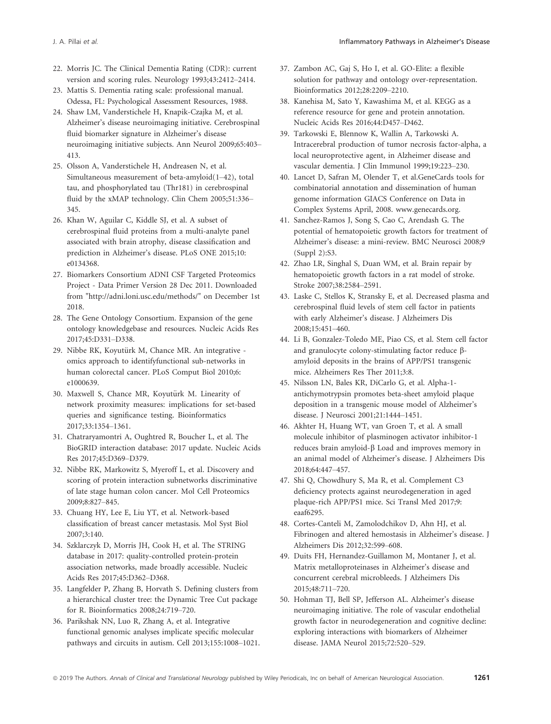- 22. Morris JC. The Clinical Dementia Rating (CDR): current version and scoring rules. Neurology 1993;43:2412–2414.
- 23. Mattis S. Dementia rating scale: professional manual. Odessa, FL: Psychological Assessment Resources, 1988.
- 24. Shaw LM, Vanderstichele H, Knapik-Czajka M, et al. Alzheimer's disease neuroimaging initiative. Cerebrospinal fluid biomarker signature in Alzheimer's disease neuroimaging initiative subjects. Ann Neurol 2009;65:403– 413.
- 25. Olsson A, Vanderstichele H, Andreasen N, et al. Simultaneous measurement of beta-amyloid(1–42), total tau, and phosphorylated tau (Thr181) in cerebrospinal fluid by the xMAP technology. Clin Chem 2005;51:336– 345.
- 26. Khan W, Aguilar C, Kiddle SJ, et al. A subset of cerebrospinal fluid proteins from a multi-analyte panel associated with brain atrophy, disease classification and prediction in Alzheimer's disease. PLoS ONE 2015;10: e0134368.
- 27. Biomarkers Consortium ADNI CSF Targeted Proteomics Project - Data Primer Version 28 Dec 2011. Downloaded from "<http://adni.loni.usc.edu/methods/>" on December 1st 2018.
- 28. The Gene Ontology Consortium. Expansion of the gene ontology knowledgebase and resources. Nucleic Acids Res 2017;45:D331–D338.
- 29. Nibbe RK, Koyutürk M, Chance MR. An integrative omics approach to identifyfunctional sub-networks in human colorectal cancer. PLoS Comput Biol 2010;6: e1000639.
- 30. Maxwell S, Chance MR, Koyutürk M. Linearity of network proximity measures: implications for set-based queries and significance testing. Bioinformatics 2017;33:1354–1361.
- 31. Chatraryamontri A, Oughtred R, Boucher L, et al. The BioGRID interaction database: 2017 update. Nucleic Acids Res 2017;45:D369–D379.
- 32. Nibbe RK, Markowitz S, Myeroff L, et al. Discovery and scoring of protein interaction subnetworks discriminative of late stage human colon cancer. Mol Cell Proteomics 2009;8:827–845.
- 33. Chuang HY, Lee E, Liu YT, et al. Network-based classification of breast cancer metastasis. Mol Syst Biol 2007;3:140.
- 34. Szklarczyk D, Morris JH, Cook H, et al. The STRING database in 2017: quality-controlled protein-protein association networks, made broadly accessible. Nucleic Acids Res 2017;45:D362–D368.
- 35. Langfelder P, Zhang B, Horvath S. Defining clusters from a hierarchical cluster tree: the Dynamic Tree Cut package for R. Bioinformatics 2008;24:719–720.
- 36. Parikshak NN, Luo R, Zhang A, et al. Integrative functional genomic analyses implicate specific molecular pathways and circuits in autism. Cell 2013;155:1008–1021.
- 37. Zambon AC, Gaj S, Ho I, et al. GO-Elite: a flexible solution for pathway and ontology over-representation. Bioinformatics 2012;28:2209–2210.
- 38. Kanehisa M, Sato Y, Kawashima M, et al. KEGG as a reference resource for gene and protein annotation. Nucleic Acids Res 2016;44:D457–D462.
- 39. Tarkowski E, Blennow K, Wallin A, Tarkowski A. Intracerebral production of tumor necrosis factor-alpha, a local neuroprotective agent, in Alzheimer disease and vascular dementia. J Clin Immunol 1999;19:223–230.
- 40. Lancet D, Safran M, Olender T, et al.GeneCards tools for combinatorial annotation and dissemination of human genome information GIACS Conference on Data in Complex Systems April, 2008. [www.genecards.org.](http://www.genecards.org)
- 41. Sanchez-Ramos J, Song S, Cao C, Arendash G. The potential of hematopoietic growth factors for treatment of Alzheimer's disease: a mini-review. BMC Neurosci 2008;9 (Suppl 2):S3.
- 42. Zhao LR, Singhal S, Duan WM, et al. Brain repair by hematopoietic growth factors in a rat model of stroke. Stroke 2007;38:2584–2591.
- 43. Laske C, Stellos K, Stransky E, et al. Decreased plasma and cerebrospinal fluid levels of stem cell factor in patients with early Alzheimer's disease. J Alzheimers Dis 2008;15:451–460.
- 44. Li B, Gonzalez-Toledo ME, Piao CS, et al. Stem cell factor and granulocyte colony-stimulating factor reduce bamyloid deposits in the brains of APP/PS1 transgenic mice. Alzheimers Res Ther 2011;3:8.
- 45. Nilsson LN, Bales KR, DiCarlo G, et al. Alpha-1 antichymotrypsin promotes beta-sheet amyloid plaque deposition in a transgenic mouse model of Alzheimer's disease. J Neurosci 2001;21:1444–1451.
- 46. Akhter H, Huang WT, van Groen T, et al. A small molecule inhibitor of plasminogen activator inhibitor-1 reduces brain amyloid-β Load and improves memory in an animal model of Alzheimer's disease. J Alzheimers Dis 2018;64:447–457.
- 47. Shi Q, Chowdhury S, Ma R, et al. Complement C3 deficiency protects against neurodegeneration in aged plaque-rich APP/PS1 mice. Sci Transl Med 2017;9: eaaf6295.
- 48. Cortes-Canteli M, Zamolodchikov D, Ahn HJ, et al. Fibrinogen and altered hemostasis in Alzheimer's disease. J Alzheimers Dis 2012;32:599–608.
- 49. Duits FH, Hernandez-Guillamon M, Montaner J, et al. Matrix metalloproteinases in Alzheimer's disease and concurrent cerebral microbleeds. J Alzheimers Dis 2015;48:711–720.
- 50. Hohman TJ, Bell SP, Jefferson AL. Alzheimer's disease neuroimaging initiative. The role of vascular endothelial growth factor in neurodegeneration and cognitive decline: exploring interactions with biomarkers of Alzheimer disease. JAMA Neurol 2015;72:520–529.